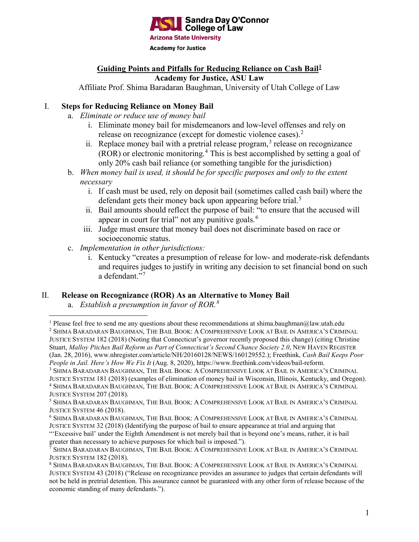

#### **Guiding Points and Pitfalls for Reducing Reliance on Cash Bail[1](#page-0-0) Academy for Justice, ASU Law**

Affiliate Prof. Shima Baradaran Baughman, University of Utah College of Law

# I. **Steps for Reducing Reliance on Money Bail**

- a. *Eliminate or reduce use of money bail*
	- i. Eliminate money bail for misdemeanors and low-level offenses and rely on release on recognizance (except for domestic violence cases).<sup>[2](#page-0-1)</sup>
	- ii. Replace money bail with a pretrial release program,  $3$  release on recognizance (ROR) or electronic monitoring. [4](#page-0-3) This is best accomplished by setting a goal of only 20% cash bail reliance (or something tangible for the jurisdiction)
- b. *When money bail is used, it should be for specific purposes and only to the extent necessary*
	- i. If cash must be used, rely on deposit bail (sometimes called cash bail) where the defendant gets their money back upon appearing before trial.<sup>[5](#page-0-4)</sup>
	- ii. Bail amounts should reflect the purpose of bail: "to ensure that the accused will appear in court for trial" not any punitive goals.<sup>[6](#page-0-5)</sup>
	- iii. Judge must ensure that money bail does not discriminate based on race or socioeconomic status.
- c. *Implementation in other jurisdictions:*
	- i. Kentucky "creates a presumption of release for low- and moderate-risk defendants and requires judges to justify in writing any decision to set financial bond on such a defendant."<sup>[7](#page-0-6)</sup>

#### II. **Release on Recognizance (ROR) As an Alternative to Money Bail**

a. *Establish a presumption in favor of ROR.[8](#page-0-7)*

<span id="page-0-1"></span><sup>2</sup> SHIMA BARADARAN BAUGHMAN, THE BAIL BOOK: A COMPREHENSIVE LOOK AT BAIL IN AMERICA'S CRIMINAL JUSTICE SYSTEM 182 (2018) (Noting that Connecticut's governor recently proposed this change) (citing Christine Stuart, *Malloy Pitches Bail Reform as Part of Connecticut's Second Chance Society 2.0*, NEW HAVEN REGISTER (Jan. 28, 2016), www.nhregister.com/article/NH/20160128/NEWS/160129552.); Freethink, *Cash Bail Keeps Poor People in Jail. Here's How We Fix It* (Aug. 8, 2020), https://www.freethink.com/videos/bail-reform.

<span id="page-0-3"></span><span id="page-0-2"></span><sup>3</sup> SHIMA BARADARAN BAUGHMAN, THE BAIL BOOK: A COMPREHENSIVE LOOK AT BAIL IN AMERICA'S CRIMINAL JUSTICE SYSTEM 181 (2018) (examples of elimination of money bail in Wisconsin, Illinois, Kentucky, and Oregon). <sup>4</sup> SHIMA BARADARAN BAUGHMAN, THE BAIL BOOK: A COMPREHENSIVE LOOK AT BAIL IN AMERICA'S CRIMINAL JUSTICE SYSTEM 207 (2018).

<span id="page-0-5"></span><sup>6</sup> SHIMA BARADARAN BAUGHMAN, THE BAIL BOOK: A COMPREHENSIVE LOOK AT BAIL IN AMERICA'S CRIMINAL JUSTICE SYSTEM 32 (2018) (Identifying the purpose of bail to ensure appearance at trial and arguing that

"'Excessive bail' under the Eighth Amendment is not merely bail that is beyond one's means, rather, it is bail greater than necessary to achieve purposes for which bail is imposed.").

<span id="page-0-0"></span><sup>&</sup>lt;sup>1</sup> Please feel free to send me any questions about these recommendations at shima.baughman@law.utah.edu

<span id="page-0-4"></span><sup>5</sup> SHIMA BARADARAN BAUGHMAN, THE BAIL BOOK: A COMPREHENSIVE LOOK AT BAIL IN AMERICA'S CRIMINAL JUSTICE SYSTEM 46 (2018).

<span id="page-0-6"></span><sup>7</sup> SHIMA BARADARAN BAUGHMAN, THE BAIL BOOK: A COMPREHENSIVE LOOK AT BAIL IN AMERICA'S CRIMINAL JUSTICE SYSTEM 182 (2018).

<span id="page-0-7"></span><sup>8</sup> SHIMA BARADARAN BAUGHMAN, THE BAIL BOOK: A COMPREHENSIVE LOOK AT BAIL IN AMERICA'S CRIMINAL JUSTICE SYSTEM 43 (2018) ("Release on recognizance provides an assurance to judges that certain defendants will not be held in pretrial detention. This assurance cannot be guaranteed with any other form of release because of the economic standing of many defendants.").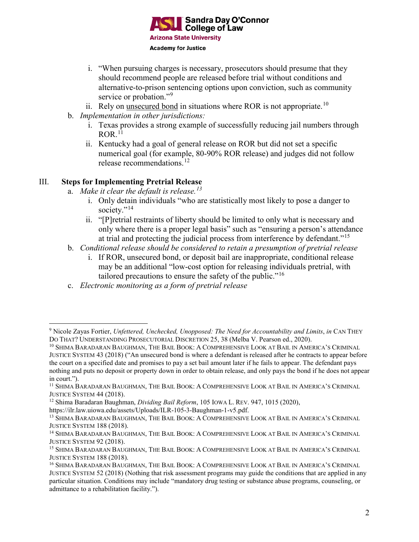

- i. "When pursuing charges is necessary, prosecutors should presume that they should recommend people are released before trial without conditions and alternative-to-prison sentencing options upon conviction, such as community service or probation."<sup>[9](#page-1-0)</sup>
- ii. Rely on unsecured bond in situations where ROR is not appropriate.<sup>[10](#page-1-1)</sup>
- b. *Implementation in other jurisdictions:*
	- i. Texas provides a strong example of successfully reducing jail numbers through  $ROR$ <sup>[11](#page-1-2)</sup>
	- ii. Kentucky had a goal of general release on ROR but did not set a specific numerical goal (for example, 80-90% ROR release) and judges did not follow release recommendations. [12](#page-1-3)

# III. **Steps for Implementing Pretrial Release**

- a. *Make it clear the default is release. [13](#page-1-4)*
	- i. Only detain individuals "who are statistically most likely to pose a danger to society."<sup>[14](#page-1-5)</sup>
	- ii. "[P]retrial restraints of liberty should be limited to only what is necessary and only where there is a proper legal basis" such as "ensuring a person's attendance at trial and protecting the judicial process from interference by defendant."<sup>[15](#page-1-6)</sup>
- b. *Conditional release should be considered to retain a presumption of pretrial release* 
	- i. If ROR, unsecured bond, or deposit bail are inappropriate, conditional release may be an additional "low-cost option for releasing individuals pretrial, with tailored precautions to ensure the safety of the public."[16](#page-1-7)
- c. *Electronic monitoring as a form of pretrial release*

<span id="page-1-0"></span> <sup>9</sup> Nicole Zayas Fortier, *Unfettered, Unchecked, Unopposed: The Need for Accountability and Limits*, *in* CAN THEY DO THAT? UNDERSTANDING PROSECUTORIAL DISCRETION 25, 38 (Melba V. Pearson ed., 2020).

<span id="page-1-1"></span><sup>10</sup> SHIMA BARADARAN BAUGHMAN, THE BAIL BOOK: A COMPREHENSIVE LOOK AT BAIL IN AMERICA'S CRIMINAL JUSTICE SYSTEM 43 (2018) ("An unsecured bond is where a defendant is released after he contracts to appear before the court on a specified date and promises to pay a set bail amount later if he fails to appear. The defendant pays nothing and puts no deposit or property down in order to obtain release, and only pays the bond if he does not appear in court.").

<span id="page-1-2"></span><sup>11</sup> SHIMA BARADARAN BAUGHMAN, THE BAIL BOOK: A COMPREHENSIVE LOOK AT BAIL IN AMERICA'S CRIMINAL JUSTICE SYSTEM 44 (2018).

<span id="page-1-3"></span><sup>12</sup> Shima Baradaran Baughman, *Dividing Bail Reform*, 105 IOWA L. REV. 947, 1015 (2020),

https://ilr.law.uiowa.edu/assets/Uploads/ILR-105-3-Baughman-1-v5.pdf.

<span id="page-1-4"></span><sup>&</sup>lt;sup>13</sup> SHIMA BARADARAN BAUGHMAN, THE BAIL BOOK: A COMPREHENSIVE LOOK AT BAIL IN AMERICA'S CRIMINAL JUSTICE SYSTEM 188 (2018).

<span id="page-1-5"></span><sup>14</sup> SHIMA BARADARAN BAUGHMAN, THE BAIL BOOK: A COMPREHENSIVE LOOK AT BAIL IN AMERICA'S CRIMINAL JUSTICE SYSTEM 92 (2018).

<span id="page-1-6"></span><sup>15</sup> SHIMA BARADARAN BAUGHMAN, THE BAIL BOOK: A COMPREHENSIVE LOOK AT BAIL IN AMERICA'S CRIMINAL JUSTICE SYSTEM 188 (2018).

<span id="page-1-7"></span><sup>16</sup> SHIMA BARADARAN BAUGHMAN, THE BAIL BOOK: A COMPREHENSIVE LOOK AT BAIL IN AMERICA'S CRIMINAL JUSTICE SYSTEM 52 (2018) (Nothing that risk assessment programs may guide the conditions that are applied in any particular situation. Conditions may include "mandatory drug testing or substance abuse programs, counseling, or admittance to a rehabilitation facility.").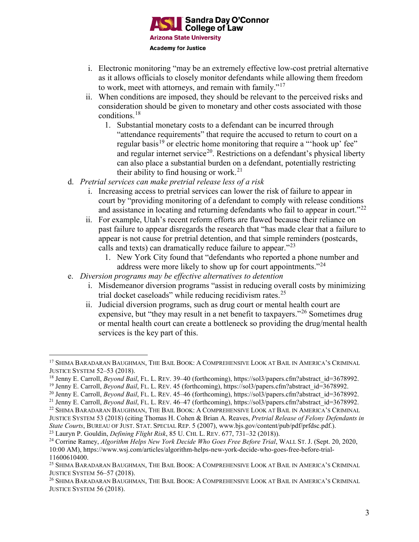

- i. Electronic monitoring "may be an extremely effective low-cost pretrial alternative as it allows officials to closely monitor defendants while allowing them freedom to work, meet with attorneys, and remain with family."[17](#page-2-0)
- ii. When conditions are imposed, they should be relevant to the perceived risks and consideration should be given to monetary and other costs associated with those conditions.[18](#page-2-1)
	- 1. Substantial monetary costs to a defendant can be incurred through "attendance requirements" that require the accused to return to court on a regular basis<sup>[19](#page-2-2)</sup> or electric home monitoring that require a "'hook up' fee" and regular internet service<sup>20</sup>. Restrictions on a defendant's physical liberty can also place a substantial burden on a defendant, potentially restricting their ability to find housing or work.<sup>[21](#page-2-4)</sup>
- d. *Pretrial services can make pretrial release less of a risk*
	- i. Increasing access to pretrial services can lower the risk of failure to appear in court by "providing monitoring of a defendant to comply with release conditions and assistance in locating and returning defendants who fail to appear in court."<sup>[22](#page-2-5)</sup>
	- ii. For example, Utah's recent reform efforts are flawed because their reliance on past failure to appear disregards the research that "has made clear that a failure to appear is not cause for pretrial detention, and that simple reminders (postcards, calls and texts) can dramatically reduce failure to appear."<sup>[23](#page-2-6)</sup>
		- 1. New York City found that "defendants who reported a phone number and address were more likely to show up for court appointments."<sup>[24](#page-2-7)</sup>
- e. *Diversion programs may be effective alternatives to detention*
	- i. Misdemeanor diversion programs "assist in reducing overall costs by minimizing trial docket caseloads" while reducing recidivism rates. $25$
	- ii. Judicial diversion programs, such as drug court or mental health court are expensive, but "they may result in a net benefit to taxpayers."<sup>[26](#page-2-9)</sup> Sometimes drug or mental health court can create a bottleneck so providing the drug/mental health services is the key part of this.

<span id="page-2-0"></span> <sup>17</sup> SHIMA BARADARAN BAUGHMAN, THE BAIL BOOK: <sup>A</sup> COMPREHENSIVE LOOK AT BAIL IN AMERICA'S CRIMINAL JUSTICE SYSTEM 52–53 (2018).

<span id="page-2-1"></span><sup>&</sup>lt;sup>18</sup> Jenny E. Carroll, *Beyond Bail*, FL. L. REV. 39–40 (forthcoming), https://sol3/papers.cfm?abstract\_id=3678992.

<span id="page-2-2"></span><sup>19</sup> Jenny E. Carroll, *Beyond Bail*, FL. L. REV. 45 (forthcoming), https://sol3/papers.cfm?abstract\_id=3678992.

<span id="page-2-3"></span><sup>&</sup>lt;sup>20</sup> Jenny E. Carroll, *Beyond Bail*, FL. L. REV. 45–46 (forthcoming), https://sol3/papers.cfm?abstract\_id=3678992.

<span id="page-2-4"></span><sup>&</sup>lt;sup>21</sup> Jenny E. Carroll, *Beyond Bail*, FL. L. REV. 46–47 (forthcoming), https://sol3/papers.cfm?abstract\_id=3678992.

<span id="page-2-5"></span><sup>22</sup> SHIMA BARADARAN BAUGHMAN, THE BAIL BOOK: A COMPREHENSIVE LOOK AT BAIL IN AMERICA'S CRIMINAL JUSTICE SYSTEM 53 (2018) (citing Thomas H. Cohen & Brian A. Reaves, *Pretrial Release of Felony Defendants in State Courts*, BUREAU OF JUST. STAT. SPECIAL REP. 5 (2007), www.bjs.gov/content/pub/pdf/prfdsc.pdf.).

<span id="page-2-6"></span><sup>23</sup> Lauryn P. Gouldin, *Defining Flight Risk*, 85 U. CHI. L. REV. 677, 731–32 (2018)).

<span id="page-2-7"></span><sup>24</sup> Corrine Ramey, *Algorithm Helps New York Decide Who Goes Free Before Trial*, WALL ST. J. (Sept. 20, 2020, 10:00 AM), https://www.wsj.com/articles/algorithm-helps-new-york-decide-who-goes-free-before-trial-11600610400.

<span id="page-2-8"></span><sup>25</sup> SHIMA BARADARAN BAUGHMAN, THE BAIL BOOK: A COMPREHENSIVE LOOK AT BAIL IN AMERICA'S CRIMINAL JUSTICE SYSTEM 56–57 (2018).

<span id="page-2-9"></span><sup>26</sup> SHIMA BARADARAN BAUGHMAN, THE BAIL BOOK: A COMPREHENSIVE LOOK AT BAIL IN AMERICA'S CRIMINAL JUSTICE SYSTEM 56 (2018).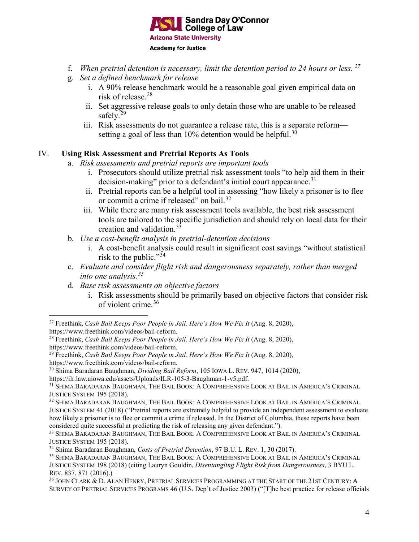

- f. *When pretrial detention is necessary, limit the detention period to 24 hours or less. [27](#page-3-0)*
- g. *Set a defined benchmark for release* 
	- i. A 90% release benchmark would be a reasonable goal given empirical data on risk of release. [28](#page-3-1)
	- ii. Set aggressive release goals to only detain those who are unable to be released safely.<sup>[29](#page-3-2)</sup>
	- iii. Risk assessments do not guarantee a release rate, this is a separate reform setting a goal of less than 10% detention would be helpful. $^{30}$  $^{30}$  $^{30}$

### IV. **Using Risk Assessment and Pretrial Reports As Tools**

- a. *Risk assessments and pretrial reports are important tools*
	- i. Prosecutors should utilize pretrial risk assessment tools "to help aid them in their decision-making" prior to a defendant's initial court appearance.<sup>[31](#page-3-4)</sup>
	- ii. Pretrial reports can be a helpful tool in assessing "how likely a prisoner is to flee or commit a crime if released" on bail.<sup>[32](#page-3-5)</sup>
	- iii. While there are many risk assessment tools available, the best risk assessment tools are tailored to the specific jurisdiction and should rely on local data for their creation and validation.[33](#page-3-6)
- b. *Use a cost-benefit analysis in pretrial-detention decisions*
	- i. A cost-benefit analysis could result in significant cost savings "without statistical risk to the public." $34$
- c. *Evaluate and consider flight risk and dangerousness separately, rather than merged into one analysis. [35](#page-3-8)*
- d. *Base risk assessments on objective factors* 
	- i. Risk assessments should be primarily based on objective factors that consider risk of violent crime. [36](#page-3-9)

<span id="page-3-3"></span><sup>30</sup> Shima Baradaran Baughman, *Dividing Bail Reform*, 105 IOWA L. REV. 947, 1014 (2020),

<span id="page-3-0"></span> <sup>27</sup> Freethink, *Cash Bail Keeps Poor People in Jail. Here's How We Fix It* (Aug. 8, 2020), https://www.freethink.com/videos/bail-reform.

<span id="page-3-1"></span><sup>28</sup> Freethink, *Cash Bail Keeps Poor People in Jail. Here's How We Fix It* (Aug. 8, 2020),

https://www.freethink.com/videos/bail-reform.

<span id="page-3-2"></span><sup>29</sup> Freethink, *Cash Bail Keeps Poor People in Jail. Here's How We Fix It* (Aug. 8, 2020), https://www.freethink.com/videos/bail-reform.

https://ilr.law.uiowa.edu/assets/Uploads/ILR-105-3-Baughman-1-v5.pdf.

<span id="page-3-4"></span><sup>31</sup> SHIMA BARADARAN BAUGHMAN, THE BAIL BOOK: A COMPREHENSIVE LOOK AT BAIL IN AMERICA'S CRIMINAL JUSTICE SYSTEM 195 (2018).

<span id="page-3-5"></span><sup>32</sup> SHIMA BARADARAN BAUGHMAN, THE BAIL BOOK: A COMPREHENSIVE LOOK AT BAIL IN AMERICA'S CRIMINAL JUSTICE SYSTEM 41 (2018) ("Pretrial reports are extremely helpful to provide an independent assessment to evaluate how likely a prisoner is to flee or commit a crime if released. In the District of Columbia, these reports have been considered quite successful at predicting the risk of releasing any given defendant.").

<span id="page-3-6"></span><sup>33</sup> SHIMA BARADARAN BAUGHMAN, THE BAIL BOOK: A COMPREHENSIVE LOOK AT BAIL IN AMERICA'S CRIMINAL JUSTICE SYSTEM 195 (2018).

<span id="page-3-7"></span><sup>34</sup> Shima Baradaran Baughman, *Costs of Pretrial Detention*, 97 B.U. L. REV. 1, 30 (2017).

<span id="page-3-8"></span><sup>35</sup> SHIMA BARADARAN BAUGHMAN, THE BAIL BOOK: A COMPREHENSIVE LOOK AT BAIL IN AMERICA'S CRIMINAL JUSTICE SYSTEM 198 (2018) (citing Lauryn Gouldin, *Disentangling Flight Risk from Dangerousness*, 3 BYU L. REV. 837, 871 (2016).)

<span id="page-3-9"></span><sup>36</sup> JOHN CLARK & D. ALAN HENRY, PRETRIAL SERVICES PROGRAMMING AT THE START OF THE 21ST CENTURY: A SURVEY OF PRETRIAL SERVICES PROGRAMS 46 (U.S. Dep't of Justice 2003) ("[T]he best practice for release officials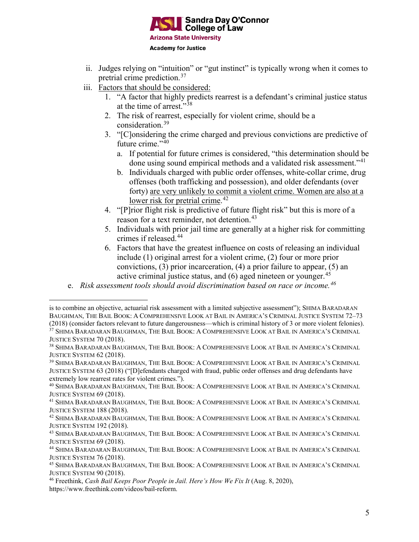

- ii. Judges relying on "intuition" or "gut instinct" is typically wrong when it comes to pretrial crime prediction.[37](#page-4-0)
- iii. Factors that should be considered:

 $\overline{a}$ 

- 1. "A factor that highly predicts rearrest is a defendant's criminal justice status at the time of arrest."<sup>[38](#page-4-1)</sup>
- 2. The risk of rearrest, especially for violent crime, should be a consideration.[39](#page-4-2)
- 3. "[C]onsidering the crime charged and previous convictions are predictive of future crime." $40$ 
	- a. If potential for future crimes is considered, "this determination should be done using sound empirical methods and a validated risk assessment."<sup>[41](#page-4-4)</sup>
	- b. Individuals charged with public order offenses, white-collar crime, drug offenses (both trafficking and possession), and older defendants (over forty) are very unlikely to commit a violent crime. Women are also at a lower risk for pretrial crime.<sup>[42](#page-4-5)</sup>
- 4. "[P]rior flight risk is predictive of future flight risk" but this is more of a reason for a text reminder, not detention.<sup>[43](#page-4-6)</sup>
- 5. Individuals with prior jail time are generally at a higher risk for committing crimes if released.<sup>[44](#page-4-7)</sup>
- 6. Factors that have the greatest influence on costs of releasing an individual include (1) original arrest for a violent crime, (2) four or more prior convictions, (3) prior incarceration, (4) a prior failure to appear, (5) an active criminal justice status, and  $(6)$  aged nineteen or younger.<sup>[45](#page-4-8)</sup>
- e. *Risk assessment tools should avoid discrimination based on race or income. [46](#page-4-9)*

is to combine an objective, actuarial risk assessment with a limited subjective assessment"); SHIMA BARADARAN BAUGHMAN, THE BAIL BOOK: A COMPREHENSIVE LOOK AT BAIL IN AMERICA'S CRIMINAL JUSTICE SYSTEM 72–73 (2018) (consider factors relevant to future dangerousness—which is criminal history of 3 or more violent felonies). <sup>37</sup> SHIMA BARADARAN BAUGHMAN, THE BAIL BOOK: A COMPREHENSIVE LOOK AT BAIL IN AMERICA'S CRIMINAL JUSTICE SYSTEM 70 (2018).

<span id="page-4-1"></span><span id="page-4-0"></span><sup>38</sup> SHIMA BARADARAN BAUGHMAN, THE BAIL BOOK: A COMPREHENSIVE LOOK AT BAIL IN AMERICA'S CRIMINAL JUSTICE SYSTEM 62 (2018).

<span id="page-4-2"></span><sup>39</sup> SHIMA BARADARAN BAUGHMAN, THE BAIL BOOK: A COMPREHENSIVE LOOK AT BAIL IN AMERICA'S CRIMINAL JUSTICE SYSTEM 63 (2018) ("[D]efendants charged with fraud, public order offenses and drug defendants have extremely low rearrest rates for violent crimes.").

<span id="page-4-3"></span><sup>40</sup> SHIMA BARADARAN BAUGHMAN, THE BAIL BOOK: A COMPREHENSIVE LOOK AT BAIL IN AMERICA'S CRIMINAL JUSTICE SYSTEM 69 (2018).

<span id="page-4-4"></span><sup>41</sup> SHIMA BARADARAN BAUGHMAN, THE BAIL BOOK: A COMPREHENSIVE LOOK AT BAIL IN AMERICA'S CRIMINAL JUSTICE SYSTEM 188 (2018).

<span id="page-4-5"></span><sup>&</sup>lt;sup>42</sup> SHIMA BARADARAN BAUGHMAN, THE BAIL BOOK: A COMPREHENSIVE LOOK AT BAIL IN AMERICA'S CRIMINAL JUSTICE SYSTEM 192 (2018).

<span id="page-4-6"></span><sup>43</sup> SHIMA BARADARAN BAUGHMAN, THE BAIL BOOK: A COMPREHENSIVE LOOK AT BAIL IN AMERICA'S CRIMINAL JUSTICE SYSTEM 69 (2018).

<span id="page-4-7"></span><sup>44</sup> SHIMA BARADARAN BAUGHMAN, THE BAIL BOOK: A COMPREHENSIVE LOOK AT BAIL IN AMERICA'S CRIMINAL JUSTICE SYSTEM 76 (2018).

<span id="page-4-8"></span><sup>45</sup> SHIMA BARADARAN BAUGHMAN, THE BAIL BOOK: A COMPREHENSIVE LOOK AT BAIL IN AMERICA'S CRIMINAL JUSTICE SYSTEM 90 (2018).

<span id="page-4-9"></span><sup>46</sup> Freethink, *Cash Bail Keeps Poor People in Jail. Here's How We Fix It* (Aug. 8, 2020), https://www.freethink.com/videos/bail-reform.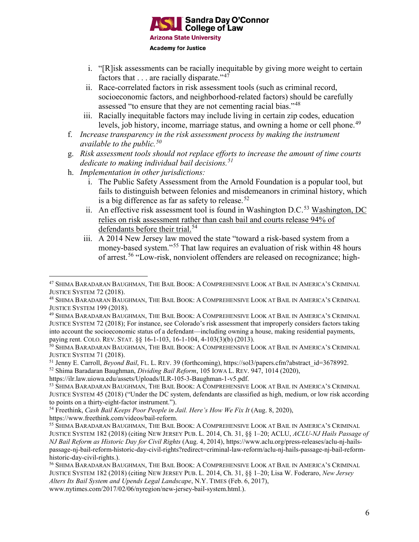

- i. "[R]isk assessments can be racially inequitable by giving more weight to certain factors that  $\dots$  are racially disparate."<sup>[47](#page-5-0)</sup>
- ii. Race-correlated factors in risk assessment tools (such as criminal record, socioeconomic factors, and neighborhood-related factors) should be carefully assessed "to ensure that they are not cementing racial bias."[48](#page-5-1)
- iii. Racially inequitable factors may include living in certain zip codes, education levels, job history, income, marriage status, and owning a home or cell phone.<sup>[49](#page-5-2)</sup>
- f. *Increase transparency in the risk assessment process by making the instrument available to the public. [50](#page-5-3)*
- g. *Risk assessment tools should not replace efforts to increase the amount of time courts dedicate to making individual bail decisions. [51](#page-5-4)*
- h. *Implementation in other jurisdictions:*
	- i. The Public Safety Assessment from the Arnold Foundation is a popular tool, but fails to distinguish between felonies and misdemeanors in criminal history, which is a big difference as far as safety to release.<sup>[52](#page-5-5)</sup>
	- ii. An effective risk assessment tool is found in Washington D.C.<sup>[53](#page-5-6)</sup> Washington, DC relies on risk assessment rather than cash bail and courts release 94% of defendants before their trial.<sup>[54](#page-5-7)</sup>
	- iii. A 2014 New Jersey law moved the state "toward a risk-based system from a money-based system."[55](#page-5-8) That law requires an evaluation of risk within 48 hours of arrest.[56](#page-5-9) "Low-risk, nonviolent offenders are released on recognizance; high-

<span id="page-5-0"></span> <sup>47</sup> SHIMA BARADARAN BAUGHMAN, THE BAIL BOOK: <sup>A</sup> COMPREHENSIVE LOOK AT BAIL IN AMERICA'S CRIMINAL JUSTICE SYSTEM 72 (2018).

<span id="page-5-1"></span><sup>48</sup> SHIMA BARADARAN BAUGHMAN, THE BAIL BOOK: A COMPREHENSIVE LOOK AT BAIL IN AMERICA'S CRIMINAL JUSTICE SYSTEM 199 (2018).

<span id="page-5-2"></span><sup>49</sup> SHIMA BARADARAN BAUGHMAN, THE BAIL BOOK: A COMPREHENSIVE LOOK AT BAIL IN AMERICA'S CRIMINAL JUSTICE SYSTEM 72 (2018); For instance, see Colorado's risk assessment that improperly considers factors taking into account the socioeconomic status of a defendant—including owning a house, making residential payments, paying rent. COLO. REV. STAT. §§ 16-1-103, 16-1-104, 4-103(3)(b) (2013).

<span id="page-5-3"></span><sup>50</sup> SHIMA BARADARAN BAUGHMAN, THE BAIL BOOK: A COMPREHENSIVE LOOK AT BAIL IN AMERICA'S CRIMINAL JUSTICE SYSTEM 71 (2018).

<span id="page-5-4"></span><sup>51</sup> Jenny E. Carroll, *Beyond Bail*, FL. L. REV. 39 (forthcoming), https://sol3/papers.cfm?abstract\_id=3678992.

<span id="page-5-5"></span><sup>52</sup> Shima Baradaran Baughman, *Dividing Bail Reform*, 105 IOWA L. REV. 947, 1014 (2020),

https://ilr.law.uiowa.edu/assets/Uploads/ILR-105-3-Baughman-1-v5.pdf.

<span id="page-5-6"></span><sup>53</sup> SHIMA BARADARAN BAUGHMAN, THE BAIL BOOK: A COMPREHENSIVE LOOK AT BAIL IN AMERICA'S CRIMINAL JUSTICE SYSTEM 45 (2018) ("Under the DC system, defendants are classified as high, medium, or low risk according to points on a thirty-eight-factor instrument.").

<span id="page-5-7"></span><sup>54</sup> Freethink, *Cash Bail Keeps Poor People in Jail. Here's How We Fix It* (Aug. 8, 2020), https://www.freethink.com/videos/bail-reform.

<span id="page-5-8"></span><sup>55</sup> SHIMA BARADARAN BAUGHMAN, THE BAIL BOOK: A COMPREHENSIVE LOOK AT BAIL IN AMERICA'S CRIMINAL JUSTICE SYSTEM 182 (2018) (citing NEW JERSEY PUB. L. 2014, Ch. 31, §§ 1–20; ACLU, *ACLU-NJ Hails Passage of NJ Bail Reform as Historic Day for Civil Rights* (Aug. 4, 2014), https://www.aclu.org/press-releases/aclu-nj-hailspassage-nj-bail-reform-historic-day-civil-rights?redirect=criminal-law-reform/aclu-nj-hails-passage-nj-bail-reformhistoric-day-civil-rights.).

<span id="page-5-9"></span><sup>56</sup> SHIMA BARADARAN BAUGHMAN, THE BAIL BOOK: A COMPREHENSIVE LOOK AT BAIL IN AMERICA'S CRIMINAL JUSTICE SYSTEM 182 (2018) (citing NEW JERSEY PUB. L. 2014, Ch. 31, §§ 1–20; Lisa W. Foderaro, *New Jersey Alters Its Bail System and Upends Legal Landscape*, N.Y. TIMES (Feb. 6, 2017),

www.nytimes.com/2017/02/06/nyregion/new-jersey-bail-system.html.).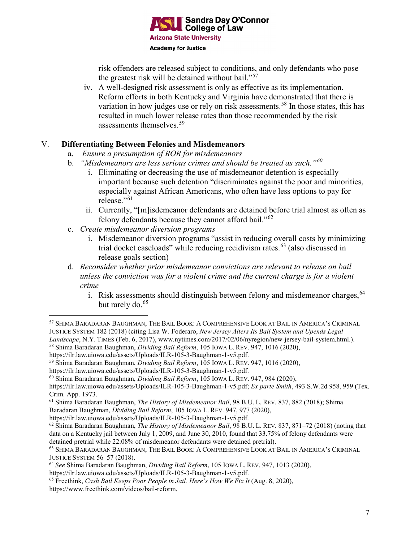

risk offenders are released subject to conditions, and only defendants who pose the greatest risk will be detained without bail."<sup>[57](#page-6-0)</sup>

iv. A well-designed risk assessment is only as effective as its implementation. Reform efforts in both Kentucky and Virginia have demonstrated that there is variation in how judges use or rely on risk assessments.<sup>[58](#page-6-1)</sup> In those states, this has resulted in much lower release rates than those recommended by the risk assessments themselves.[59](#page-6-2)

### V. **Differentiating Between Felonies and Misdemeanors**

- a. *Ensure a presumption of ROR for misdemeanors*
- b. *"Misdemeanors are less serious crimes and should be treated as such."[60](#page-6-3)*
	- i. Eliminating or decreasing the use of misdemeanor detention is especially important because such detention "discriminates against the poor and minorities, especially against African Americans, who often have less options to pay for release."<sup>[61](#page-6-4)</sup>
	- ii. Currently, "[m]isdemeanor defendants are detained before trial almost as often as felony defendants because they cannot afford bail."[62](#page-6-5)
- c. *Create misdemeanor diversion programs*
	- i. Misdemeanor diversion programs "assist in reducing overall costs by minimizing trial docket caseloads" while reducing recidivism rates. $^{63}$  $^{63}$  $^{63}$  (also discussed in release goals section)
- d. *Reconsider whether prior misdemeanor convictions are relevant to release on bail unless the conviction was for a violent crime and the current charge is for a violent crime*
	- i. Risk assessments should distinguish between felony and misdemeanor charges, <sup>[64](#page-6-7)</sup> but rarely do. [65](#page-6-8)

<span id="page-6-1"></span>https://ilr.law.uiowa.edu/assets/Uploads/ILR-105-3-Baughman-1-v5.pdf.

<span id="page-6-0"></span> <sup>57</sup> SHIMA BARADARAN BAUGHMAN, THE BAIL BOOK: <sup>A</sup> COMPREHENSIVE LOOK AT BAIL IN AMERICA'S CRIMINAL JUSTICE SYSTEM 182 (2018) (citing Lisa W. Foderaro, *New Jersey Alters Its Bail System and Upends Legal Landscape*, N.Y. TIMES (Feb. 6, 2017), www.nytimes.com/2017/02/06/nyregion/new-jersey-bail-system.html.). <sup>58</sup> Shima Baradaran Baughman, *Dividing Bail Reform*, 105 IOWA L. REV. 947, 1016 (2020),

<span id="page-6-2"></span><sup>59</sup> Shima Baradaran Baughman, *Dividing Bail Reform*, 105 IOWA L. REV. 947, 1016 (2020),

https://ilr.law.uiowa.edu/assets/Uploads/ILR-105-3-Baughman-1-v5.pdf.

<span id="page-6-3"></span><sup>60</sup> Shima Baradaran Baughman, *Dividing Bail Reform*, 105 IOWA L. REV. 947, 984 (2020),

https://ilr.law.uiowa.edu/assets/Uploads/ILR-105-3-Baughman-1-v5.pdf; *Ex parte Smith*, 493 S.W.2d 958, 959 (Tex. Crim. App. 1973.

<span id="page-6-4"></span><sup>61</sup> Shima Baradaran Baughman, *The History of Misdemeanor Bail*, 98 B.U. L. REV. 837, 882 (2018); Shima

Baradaran Baughman, *Dividing Bail Reform*, 105 IOWA L. REV. 947, 977 (2020),

https://ilr.law.uiowa.edu/assets/Uploads/ILR-105-3-Baughman-1-v5.pdf.

<span id="page-6-5"></span><sup>62</sup> Shima Baradaran Baughman, *The History of Misdemeanor Bail*, 98 B.U. L. REV. 837, 871–72 (2018) (noting that data on a Kentucky jail between July 1, 2009, and June 30, 2010, found that 33.75% of felony defendants were detained pretrial while 22.08% of misdemeanor defendants were detained pretrial).

<span id="page-6-6"></span><sup>63</sup> SHIMA BARADARAN BAUGHMAN, THE BAIL BOOK: A COMPREHENSIVE LOOK AT BAIL IN AMERICA'S CRIMINAL JUSTICE SYSTEM 56–57 (2018).

<span id="page-6-7"></span><sup>64</sup> *See* Shima Baradaran Baughman, *Dividing Bail Reform*, 105 IOWA L. REV. 947, 1013 (2020),

https://ilr.law.uiowa.edu/assets/Uploads/ILR-105-3-Baughman-1-v5.pdf.

<span id="page-6-8"></span><sup>65</sup> Freethink, *Cash Bail Keeps Poor People in Jail. Here's How We Fix It* (Aug. 8, 2020), https://www.freethink.com/videos/bail-reform.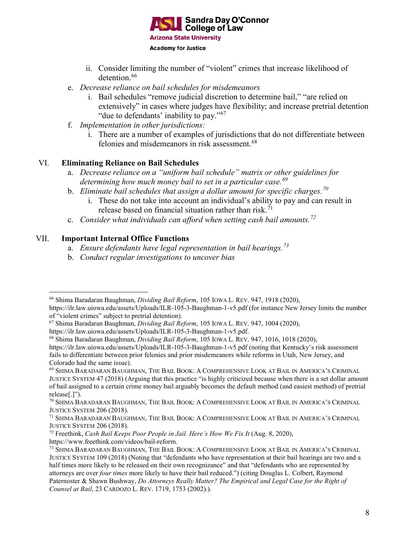

- ii. Consider limiting the number of "violent" crimes that increase likelihood of detention.<sup>[66](#page-7-0)</sup>
- e. *Decrease reliance on bail schedules for misdemeanors*
	- i. Bail schedules "remove judicial discretion to determine bail," "are relied on extensively" in cases where judges have flexibility; and increase pretrial detention "due to defendants' inability to pay."<sup>[67](#page-7-1)</sup>
- f. *Implementation in other jurisdictions:*
	- i. There are a number of examples of jurisdictions that do not differentiate between felonies and misdemeanors in risk assessment.<sup>[68](#page-7-2)</sup>

### VI. **Eliminating Reliance on Bail Schedules**

- a. *Decrease reliance on a "uniform bail schedule" matrix or other guidelines for determining how much money bail to set in a particular case.[69](#page-7-3)*
- b. *Eliminate bail schedules that assign a dollar amount for specific charges.[70](#page-7-4)*
	- i. These do not take into account an individual's ability to pay and can result in release based on financial situation rather than risk.<sup>[71](#page-7-5)</sup>
- c. *Consider what individuals can afford when setting cash bail amounts.[72](#page-7-6)*

# VII. **Important Internal Office Functions**

- a. *Ensure defendants have legal representation in bail hearings.[73](#page-7-7)*
- b. *Conduct regular investigations to uncover bias*

<span id="page-7-0"></span> <sup>66</sup> Shima Baradaran Baughman, *Dividing Bail Reform*, 105 IOWA L. REV. 947, 1918 (2020),

https://ilr.law.uiowa.edu/assets/Uploads/ILR-105-3-Baughman-1-v5.pdf (for instance New Jersey limits the number of "violent crimes" subject to pretrial detention).

<span id="page-7-1"></span><sup>67</sup> Shima Baradaran Baughman, *Dividing Bail Reform*, 105 IOWA L. REV. 947, 1004 (2020),

https://ilr.law.uiowa.edu/assets/Uploads/ILR-105-3-Baughman-1-v5.pdf.

<span id="page-7-2"></span><sup>68</sup> Shima Baradaran Baughman, *Dividing Bail Reform*, 105 IOWA L. REV. 947, 1016, 1018 (2020),

https://ilr.law.uiowa.edu/assets/Uploads/ILR-105-3-Baughman-1-v5.pdf (noting that Kentucky's risk assessment fails to differentiate between prior felonies and prior misdemeanors while reforms in Utah, New Jersey, and Colorado had the same issue).

<span id="page-7-3"></span><sup>69</sup> SHIMA BARADARAN BAUGHMAN, THE BAIL BOOK: A COMPREHENSIVE LOOK AT BAIL IN AMERICA'S CRIMINAL JUSTICE SYSTEM 47 (2018) (Arguing that this practice "is highly criticized because when there is a set dollar amount of bail assigned to a certain crime money bail arguably becomes the default method (and easiest method) of pretrial release[.]").

<span id="page-7-4"></span><sup>70</sup> SHIMA BARADARAN BAUGHMAN, THE BAIL BOOK: A COMPREHENSIVE LOOK AT BAIL IN AMERICA'S CRIMINAL JUSTICE SYSTEM 206 (2018).

<span id="page-7-5"></span><sup>71</sup> SHIMA BARADARAN BAUGHMAN, THE BAIL BOOK: A COMPREHENSIVE LOOK AT BAIL IN AMERICA'S CRIMINAL JUSTICE SYSTEM 206 (2018).

<span id="page-7-6"></span><sup>72</sup> Freethink, *Cash Bail Keeps Poor People in Jail. Here's How We Fix It* (Aug. 8, 2020), https://www.freethink.com/videos/bail-reform.

<span id="page-7-7"></span><sup>73</sup> SHIMA BARADARAN BAUGHMAN, THE BAIL BOOK: A COMPREHENSIVE LOOK AT BAIL IN AMERICA'S CRIMINAL JUSTICE SYSTEM 109 (2018) (Noting that "defendants who have representation at their bail hearings are two and a half times more likely to be released on their own recognizance" and that "defendants who are represented by attorneys are over *four times* more likely to have their bail reduced.") (citing Douglas L. Colbert, Raymond Paternoster & Shawn Bushway, *Do Attorneys Really Matter? The Empirical and Legal Case for the Right of Counsel at Bail*, 23 CARDOZO L. REV. 1719, 1753 (2002).).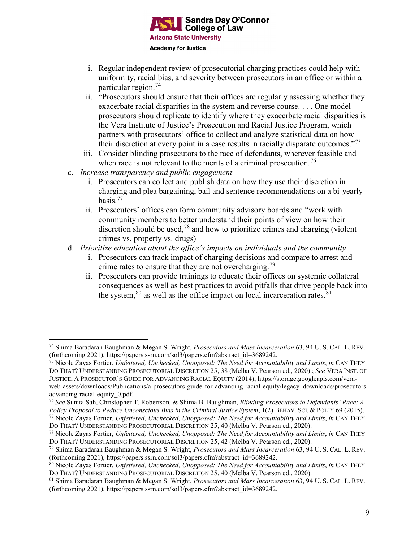

- i. Regular independent review of prosecutorial charging practices could help with uniformity, racial bias, and severity between prosecutors in an office or within a particular region.[74](#page-8-0)
- ii. "Prosecutors should ensure that their offices are regularly assessing whether they exacerbate racial disparities in the system and reverse course. . . . One model prosecutors should replicate to identify where they exacerbate racial disparities is the Vera Institute of Justice's Prosecution and Racial Justice Program, which partners with prosecutors' office to collect and analyze statistical data on how their discretion at every point in a case results in racially disparate outcomes."[75](#page-8-1)
- iii. Consider blinding prosecutors to the race of defendants, wherever feasible and when race is not relevant to the merits of a criminal prosecution.<sup>[76](#page-8-2)</sup>
- c. *Increase transparency and public engagement*
	- i. Prosecutors can collect and publish data on how they use their discretion in charging and plea bargaining, bail and sentence recommendations on a bi-yearly basis. [77](#page-8-3)
	- ii. Prosecutors' offices can form community advisory boards and "work with community members to better understand their points of view on how their discretion should be used,  $78$  and how to prioritize crimes and charging (violent crimes vs. property vs. drugs)
- d. *Prioritize education about the office's impacts on individuals and the community*
	- i. Prosecutors can track impact of charging decisions and compare to arrest and crime rates to ensure that they are not overcharging.<sup>[79](#page-8-5)</sup>
	- ii. Prosecutors can provide trainings to educate their offices on systemic collateral consequences as well as best practices to avoid pitfalls that drive people back into the system,  $80$  as well as the office impact on local incarceration rates.  $81$

<span id="page-8-0"></span> <sup>74</sup> Shima Baradaran Baughman & Megan S. Wright, *Prosecutors and Mass Incarceration* 63, 94 U. S. CAL. L. REV. (forthcoming 2021), https://papers.ssrn.com/sol3/papers.cfm?abstract\_id=3689242.

<span id="page-8-1"></span><sup>75</sup> Nicole Zayas Fortier, *Unfettered, Unchecked, Unopposed: The Need for Accountability and Limits*, *in* CAN THEY DO THAT? UNDERSTANDING PROSECUTORIAL DISCRETION 25, 38 (Melba V. Pearson ed., 2020).; *See* VERA INST. OF JUSTICE, A PROSECUTOR'S GUIDE FOR ADVANCING RACIAL EQUITY (2014), https://storage.googleapis.com/veraweb-assets/downloads/Publications/a-prosecutors-guide-for-advancing-racial-equity/legacy\_downloads/prosecutorsadvancing-racial-equity\_0.pdf.

<span id="page-8-2"></span><sup>76</sup> *See* Sunita Sah, Christopher T. Robertson, & Shima B. Baughman, *Blinding Prosecutors to Defendants' Race: A Policy Proposal to Reduce Unconscious Bias in the Criminal Justice System*, 1(2) BEHAV. SCI. & POL'Y 69 (2015).

<span id="page-8-3"></span><sup>77</sup> Nicole Zayas Fortier, *Unfettered, Unchecked, Unopposed: The Need for Accountability and Limits*, *in* CAN THEY DO THAT? UNDERSTANDING PROSECUTORIAL DISCRETION 25, 40 (Melba V. Pearson ed., 2020).

<span id="page-8-4"></span><sup>78</sup> Nicole Zayas Fortier, *Unfettered, Unchecked, Unopposed: The Need for Accountability and Limits*, *in* CAN THEY DO THAT? UNDERSTANDING PROSECUTORIAL DISCRETION 25, 42 (Melba V. Pearson ed., 2020).

<span id="page-8-5"></span><sup>79</sup> Shima Baradaran Baughman & Megan S. Wright, *Prosecutors and Mass Incarceration* 63, 94 U. S. CAL. L. REV. (forthcoming 2021), https://papers.ssrn.com/sol3/papers.cfm?abstract\_id=3689242.

<span id="page-8-6"></span><sup>80</sup> Nicole Zayas Fortier, *Unfettered, Unchecked, Unopposed: The Need for Accountability and Limits*, *in* CAN THEY DO THAT? UNDERSTANDING PROSECUTORIAL DISCRETION 25, 40 (Melba V. Pearson ed., 2020).

<span id="page-8-7"></span><sup>81</sup> Shima Baradaran Baughman & Megan S. Wright, *Prosecutors and Mass Incarceration* 63, 94 U. S. CAL. L. REV. (forthcoming 2021), https://papers.ssrn.com/sol3/papers.cfm?abstract\_id=3689242.